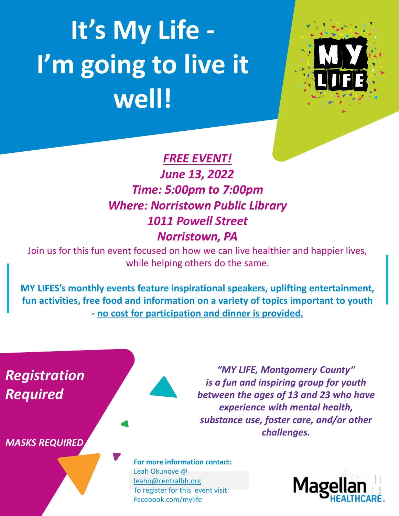## **It's My Life - I'm going to live it well!**



*FREE EVENT! June 13, 2022 Time: 5:00pm to 7:00pm Where: Norristown Public Library 1011 Powell Street Norristown, PA*

Join us for this fun event focused on how we can live healthier and happier lives, while helping others do the same.

**MY LIFES's monthly events feature inspirational speakers, uplifting entertainment, fun activities, free food and information on a variety of topics important to youth - no cost for participation and dinner is provided.**